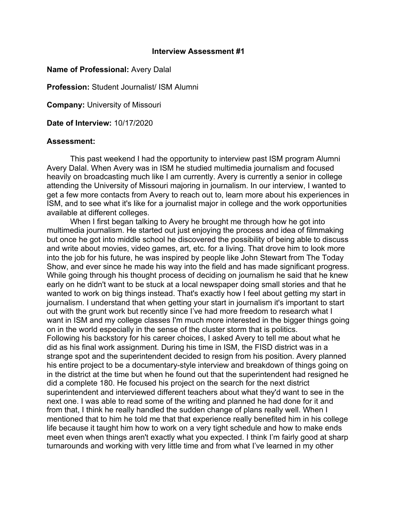## **Interview Assessment #1**

## **Name of Professional:** Avery Dalal

**Profession:** Student Journalist/ ISM Alumni

**Company:** University of Missouri

**Date of Interview:** 10/17/2020

## **Assessment:**

This past weekend I had the opportunity to interview past ISM program Alumni Avery Dalal. When Avery was in ISM he studied multimedia journalism and focused heavily on broadcasting much like I am currently. Avery is currently a senior in college attending the University of Missouri majoring in journalism. In our interview, I wanted to get a few more contacts from Avery to reach out to, learn more about his experiences in ISM, and to see what it's like for a journalist major in college and the work opportunities available at different colleges.

When I first began talking to Avery he brought me through how he got into multimedia journalism. He started out just enjoying the process and idea of filmmaking but once he got into middle school he discovered the possibility of being able to discuss and write about movies, video games, art, etc. for a living. That drove him to look more into the job for his future, he was inspired by people like John Stewart from The Today Show, and ever since he made his way into the field and has made significant progress. While going through his thought process of deciding on journalism he said that he knew early on he didn't want to be stuck at a local newspaper doing small stories and that he wanted to work on big things instead. That's exactly how I feel about getting my start in journalism. I understand that when getting your start in journalism it's important to start out with the grunt work but recently since I've had more freedom to research what I want in ISM and my college classes I'm much more interested in the bigger things going on in the world especially in the sense of the cluster storm that is politics. Following his backstory for his career choices, I asked Avery to tell me about what he did as his final work assignment. During his time in ISM, the FISD district was in a strange spot and the superintendent decided to resign from his position. Avery planned his entire project to be a documentary-style interview and breakdown of things going on in the district at the time but when he found out that the superintendent had resigned he did a complete 180. He focused his project on the search for the next district superintendent and interviewed different teachers about what they'd want to see in the next one. I was able to read some of the writing and planned he had done for it and from that, I think he really handled the sudden change of plans really well. When I mentioned that to him he told me that that experience really benefited him in his college life because it taught him how to work on a very tight schedule and how to make ends meet even when things aren't exactly what you expected. I think I'm fairly good at sharp turnarounds and working with very little time and from what I've learned in my other